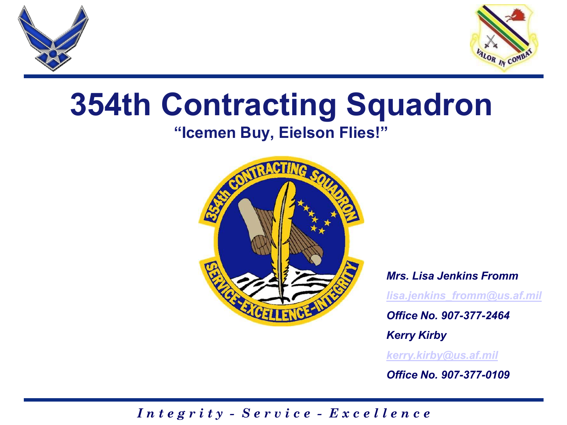



# **354th Contracting Squadron**

### **"Icemen Buy, Eielson Flies!"**



#### *Mrs. Lisa Jenkins Fromm*

*[lisa.jenkins\\_fromm@us.af.mil](mailto:lisa.jenkins_fromm@us.af.mil)*

*Office No. 907-377-2464*

*Kerry Kirby*

*[kerry.kirby@us.af.mil](mailto:kerry.kirby@us.af.mil)*

*Office No. 907-377-0109*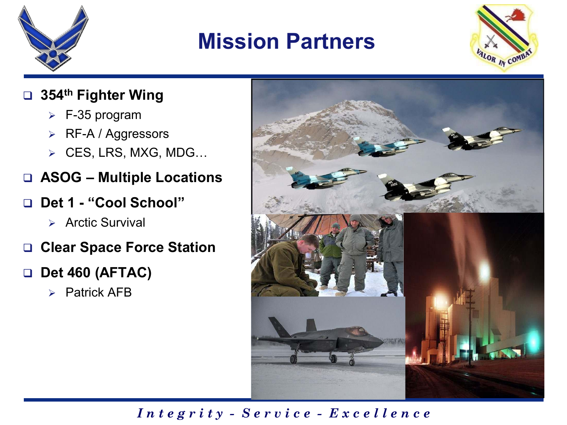

## **Mission Partners**



#### **354th Fighter Wing**

- $\triangleright$  F-35 program
- **▶ RF-A / Aggressors**
- CES, LRS, MXG, MDG…
- **ASOG – Multiple Locations**
- **Det 1 - "Cool School"**
	- $\triangleright$  Arctic Survival
- **Clear Space Force Station**

#### **Det 460 (AFTAC)**

 $\triangleright$  Patrick AFB

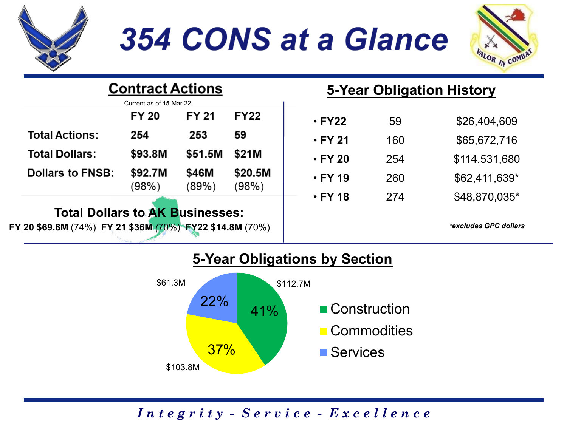

## 354 CONS at a Glance



| <b>Contract Actions</b><br>Current as of 15 Mar 22                                                 |                  |                | 5-Year Obligation History |               |     |                              |
|----------------------------------------------------------------------------------------------------|------------------|----------------|---------------------------|---------------|-----|------------------------------|
|                                                                                                    | <b>FY 20</b>     | <b>FY 21</b>   | <b>FY22</b>               | $\cdot$ FY22  | 59  | \$26,404,609                 |
| <b>Total Actions:</b>                                                                              | 254              | 253            | 59                        | $\cdot$ FY 21 | 160 | \$65,672,716                 |
| <b>Total Dollars:</b>                                                                              | \$93.8M          | \$51.5M        | \$21M                     | $\cdot$ FY 20 | 254 | \$114,531,680                |
| <b>Dollars to FNSB:</b>                                                                            | \$92.7M<br>(98%) | \$46M<br>(89%) | \$20.5M<br>(98%)          | $\cdot$ FY 19 | 260 | $$62,411,639*$               |
|                                                                                                    |                  |                |                           | $\cdot$ FY 18 | 274 | \$48,870,035*                |
| <b>Total Dollars to AK Businesses:</b><br>FY 20 \$69.8M (74%) FY 21 \$36M (70%) FY22 \$14.8M (70%) |                  |                |                           |               |     | <i>*excludes GPC dollars</i> |



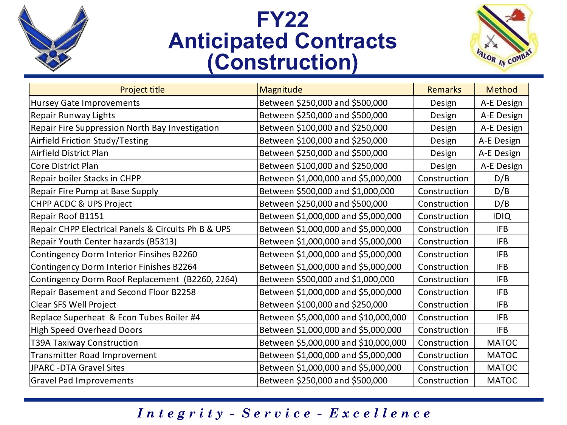

## **FY22 Anticipated Contracts (Construction)**



| Project title                                       | Magnitude                            | <b>Remarks</b> | Method       |
|-----------------------------------------------------|--------------------------------------|----------------|--------------|
| Hursey Gate Improvements                            | Between \$250,000 and \$500,000      | Design         | A-E Design   |
| Repair Runway Lights                                | Between \$250,000 and \$500,000      | Design         | A-E Design   |
| Repair Fire Suppression North Bay Investigation     | Between \$100,000 and \$250,000      | Design         | A-E Design   |
| Airfield Friction Study/Testing                     | Between \$100,000 and \$250,000      | Design         | A-E Design   |
| Airfield District Plan                              | Between \$250,000 and \$500,000      | Design         | A-E Design   |
| Core District Plan                                  | Between \$100,000 and \$250,000      | Design         | A-E Design   |
| Repair boiler Stacks in CHPP                        | Between \$1,000,000 and \$5,000,000  | Construction   | D/B          |
| Repair Fire Pump at Base Supply                     | Between \$500,000 and \$1,000,000    | Construction   | D/B          |
| CHPP ACDC & UPS Project                             | Between \$250,000 and \$500,000      | Construction   | D/B          |
| Repair Roof B1151                                   | Between \$1,000,000 and \$5,000,000  | Construction   | <b>IDIQ</b>  |
| Repair CHPP Electrical Panels & Circuits Ph B & UPS | Between \$1,000,000 and \$5,000,000  | Construction   | <b>IFB</b>   |
| Repair Youth Center hazards (B5313)                 | Between \$1,000,000 and \$5,000,000  | Construction   | <b>IFB</b>   |
| Contingency Dorm Interior Finsihes B2260            | Between \$1,000,000 and \$5,000,000  | Construction   | <b>IFB</b>   |
| Contingency Dorm Interior Finishes B2264            | Between \$1,000,000 and \$5,000,000  | Construction   | <b>IFB</b>   |
| Contingency Dorm Roof Replacement (B2260, 2264)     | Between \$500,000 and \$1,000,000    | Construction   | <b>IFB</b>   |
| Repair Basement and Second Floor B2258              | Between \$1,000,000 and \$5,000,000  | Construction   | <b>IFB</b>   |
| Clear SFS Well Project                              | Between \$100,000 and \$250,000      | Construction   | <b>IFB</b>   |
| Replace Superheat & Econ Tubes Boiler #4            | Between \$5,000,000 and \$10,000,000 | Construction   | <b>IFB</b>   |
| High Speed Overhead Doors                           | Between \$1,000,000 and \$5,000,000  | Construction   | <b>IFB</b>   |
| T39A Taxiway Construction                           | Between \$5,000,000 and \$10,000,000 | Construction   | <b>MATOC</b> |
| Transmitter Road Improvement                        | Between \$1,000,000 and \$5,000,000  | Construction   | <b>MATOC</b> |
| <b>JPARC -DTA Gravel Sites</b>                      | Between \$1,000,000 and \$5,000,000  | Construction   | <b>MATOC</b> |
| <b>Gravel Pad Improvements</b>                      | Between \$250,000 and \$500,000      | Construction   | <b>MATOC</b> |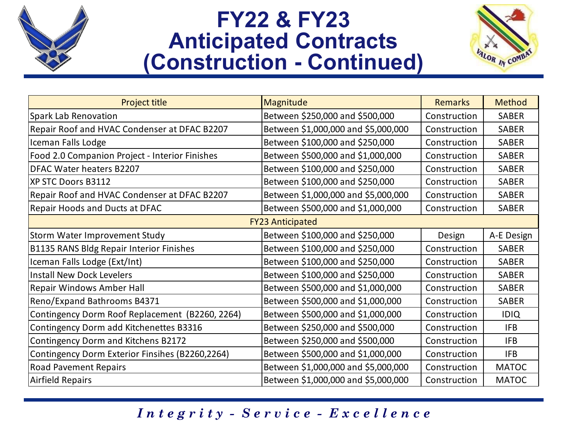

## **FY22 & FY23 Anticipated Contracts (Construction - Continued)**



| Project title                                   | Magnitude                           | <b>Remarks</b> | Method       |  |  |  |  |  |
|-------------------------------------------------|-------------------------------------|----------------|--------------|--|--|--|--|--|
| <b>Spark Lab Renovation</b>                     | Between \$250,000 and \$500,000     | Construction   | <b>SABER</b> |  |  |  |  |  |
| Repair Roof and HVAC Condenser at DFAC B2207    | Between \$1,000,000 and \$5,000,000 | Construction   | <b>SABER</b> |  |  |  |  |  |
| Iceman Falls Lodge                              | Between \$100,000 and \$250,000     | Construction   | <b>SABER</b> |  |  |  |  |  |
| Food 2.0 Companion Project - Interior Finishes  | Between \$500,000 and \$1,000,000   | Construction   | SABER        |  |  |  |  |  |
| DFAC Water heaters B2207                        | Between \$100,000 and \$250,000     | Construction   | <b>SABER</b> |  |  |  |  |  |
| XP STC Doors B3112                              | Between \$100,000 and \$250,000     | Construction   | SABER        |  |  |  |  |  |
| Repair Roof and HVAC Condenser at DFAC B2207    | Between \$1,000,000 and \$5,000,000 | Construction   | <b>SABER</b> |  |  |  |  |  |
| Repair Hoods and Ducts at DFAC                  | Between \$500,000 and \$1,000,000   | Construction   | SABER        |  |  |  |  |  |
| <b>FY23 Anticipated</b>                         |                                     |                |              |  |  |  |  |  |
| Storm Water Improvement Study                   | Between \$100,000 and \$250,000     | Design         | A-E Design   |  |  |  |  |  |
| <b>B1135 RANS Bldg Repair Interior Finishes</b> | Between \$100,000 and \$250,000     | Construction   | <b>SABER</b> |  |  |  |  |  |
| Iceman Falls Lodge (Ext/Int)                    | Between \$100,000 and \$250,000     | Construction   | <b>SABER</b> |  |  |  |  |  |
| <b>Install New Dock Levelers</b>                | Between \$100,000 and \$250,000     | Construction   | <b>SABER</b> |  |  |  |  |  |
| Repair Windows Amber Hall                       | Between \$500,000 and \$1,000,000   | Construction   | <b>SABER</b> |  |  |  |  |  |
| Reno/Expand Bathrooms B4371                     | Between \$500,000 and \$1,000,000   | Construction   | <b>SABER</b> |  |  |  |  |  |
| Contingency Dorm Roof Replacement (B2260, 2264) | Between \$500,000 and \$1,000,000   | Construction   | <b>IDIQ</b>  |  |  |  |  |  |
| Contingency Dorm add Kitchenettes B3316         | Between \$250,000 and \$500,000     | Construction   | <b>IFB</b>   |  |  |  |  |  |
| Contingency Dorm and Kitchens B2172             | Between \$250,000 and \$500,000     | Construction   | <b>IFB</b>   |  |  |  |  |  |
| Contingency Dorm Exterior Finsihes (B2260,2264) | Between \$500,000 and \$1,000,000   | Construction   | <b>IFB</b>   |  |  |  |  |  |
| <b>Road Pavement Repairs</b>                    | Between \$1,000,000 and \$5,000,000 | Construction   | <b>MATOC</b> |  |  |  |  |  |
| <b>Airfield Repairs</b>                         | Between \$1,000,000 and \$5,000,000 | Construction   | <b>MATOC</b> |  |  |  |  |  |